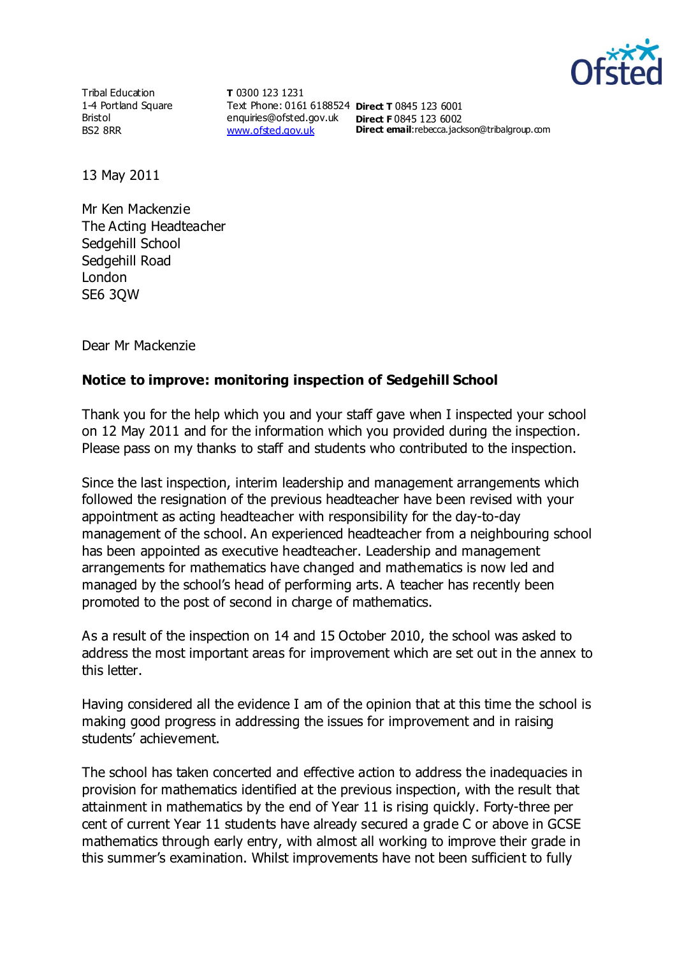

Tribal Education 1-4 Portland Square Bristol BS2 8RR

**T** 0300 123 1231 Text Phone: 0161 6188524 **Direct T** 0845 123 6001 enquiries@ofsted.gov.uk **Direct F** 0845 123 6002 [www.ofsted.gov.uk](http://www.ofsted.gov.uk/)

**Direct email:**rebecca.jackson@tribalgroup.com

13 May 2011

Mr Ken Mackenzie The Acting Headteacher Sedgehill School Sedgehill Road London SE6 3QW

Dear Mr Mackenzie

## **Notice to improve: monitoring inspection of Sedgehill School**

Thank you for the help which you and your staff gave when I inspected your school on 12 May 2011 and for the information which you provided during the inspection. Please pass on my thanks to staff and students who contributed to the inspection.

Since the last inspection, interim leadership and management arrangements which followed the resignation of the previous headteacher have been revised with your appointment as acting headteacher with responsibility for the day-to-day management of the school. An experienced headteacher from a neighbouring school has been appointed as executive headteacher. Leadership and management arrangements for mathematics have changed and mathematics is now led and managed by the school's head of performing arts. A teacher has recently been promoted to the post of second in charge of mathematics.

As a result of the inspection on 14 and 15 October 2010, the school was asked to address the most important areas for improvement which are set out in the annex to this letter.

Having considered all the evidence I am of the opinion that at this time the school is making good progress in addressing the issues for improvement and in raising students' achievement.

The school has taken concerted and effective action to address the inadequacies in provision for mathematics identified at the previous inspection, with the result that attainment in mathematics by the end of Year 11 is rising quickly. Forty-three per cent of current Year 11 students have already secured a grade C or above in GCSE mathematics through early entry, with almost all working to improve their grade in this summer's examination. Whilst improvements have not been sufficient to fully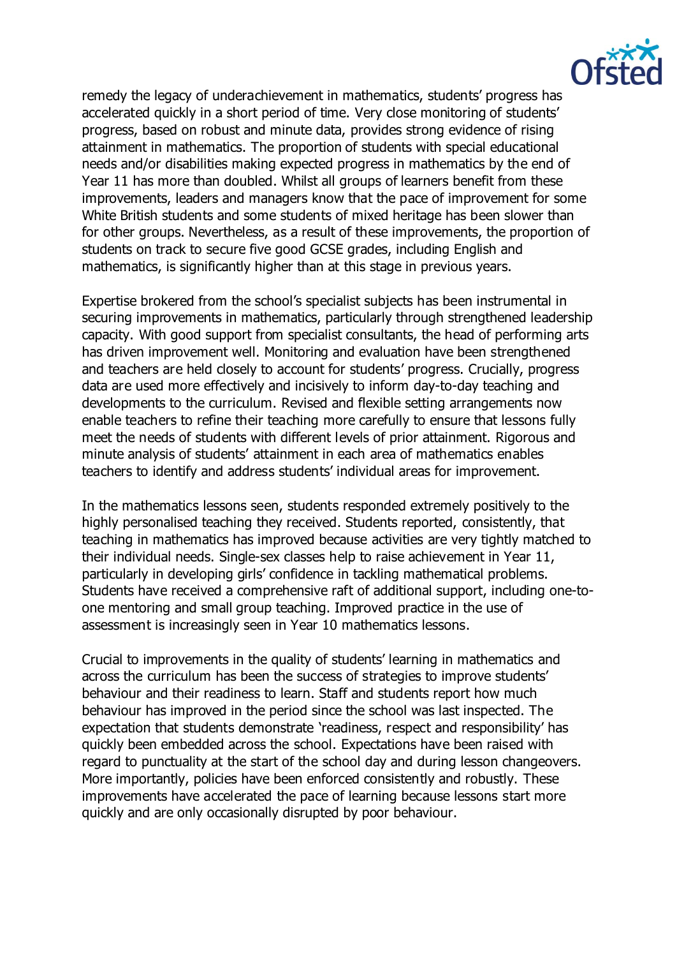

remedy the legacy of underachievement in mathematics, students' progress has accelerated quickly in a short period of time. Very close monitoring of students' progress, based on robust and minute data, provides strong evidence of rising attainment in mathematics. The proportion of students with special educational needs and/or disabilities making expected progress in mathematics by the end of Year 11 has more than doubled. Whilst all groups of learners benefit from these improvements, leaders and managers know that the pace of improvement for some White British students and some students of mixed heritage has been slower than for other groups. Nevertheless, as a result of these improvements, the proportion of students on track to secure five good GCSE grades, including English and mathematics, is significantly higher than at this stage in previous years.

Expertise brokered from the school's specialist subjects has been instrumental in securing improvements in mathematics, particularly through strengthened leadership capacity. With good support from specialist consultants, the head of performing arts has driven improvement well. Monitoring and evaluation have been strengthened and teachers are held closely to account for students' progress. Crucially, progress data are used more effectively and incisively to inform day-to-day teaching and developments to the curriculum. Revised and flexible setting arrangements now enable teachers to refine their teaching more carefully to ensure that lessons fully meet the needs of students with different levels of prior attainment. Rigorous and minute analysis of students' attainment in each area of mathematics enables teachers to identify and address students' individual areas for improvement.

In the mathematics lessons seen, students responded extremely positively to the highly personalised teaching they received. Students reported, consistently, that teaching in mathematics has improved because activities are very tightly matched to their individual needs. Single-sex classes help to raise achievement in Year 11, particularly in developing girls' confidence in tackling mathematical problems. Students have received a comprehensive raft of additional support, including one-toone mentoring and small group teaching. Improved practice in the use of assessment is increasingly seen in Year 10 mathematics lessons.

Crucial to improvements in the quality of students' learning in mathematics and across the curriculum has been the success of strategies to improve students' behaviour and their readiness to learn. Staff and students report how much behaviour has improved in the period since the school was last inspected. The expectation that students demonstrate 'readiness, respect and responsibility' has quickly been embedded across the school. Expectations have been raised with regard to punctuality at the start of the school day and during lesson changeovers. More importantly, policies have been enforced consistently and robustly. These improvements have accelerated the pace of learning because lessons start more quickly and are only occasionally disrupted by poor behaviour.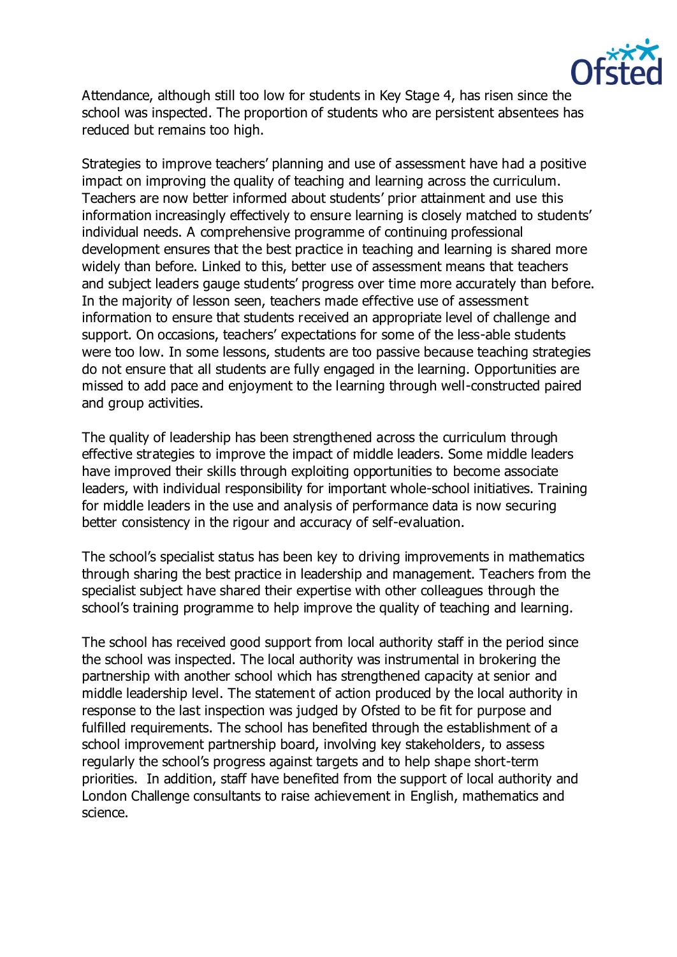

Attendance, although still too low for students in Key Stage 4, has risen since the school was inspected. The proportion of students who are persistent absentees has reduced but remains too high.

Strategies to improve teachers' planning and use of assessment have had a positive impact on improving the quality of teaching and learning across the curriculum. Teachers are now better informed about students' prior attainment and use this information increasingly effectively to ensure learning is closely matched to students' individual needs. A comprehensive programme of continuing professional development ensures that the best practice in teaching and learning is shared more widely than before. Linked to this, better use of assessment means that teachers and subject leaders gauge students' progress over time more accurately than before. In the majority of lesson seen, teachers made effective use of assessment information to ensure that students received an appropriate level of challenge and support. On occasions, teachers' expectations for some of the less-able students were too low. In some lessons, students are too passive because teaching strategies do not ensure that all students are fully engaged in the learning. Opportunities are missed to add pace and enjoyment to the learning through well-constructed paired and group activities.

The quality of leadership has been strengthened across the curriculum through effective strategies to improve the impact of middle leaders. Some middle leaders have improved their skills through exploiting opportunities to become associate leaders, with individual responsibility for important whole-school initiatives. Training for middle leaders in the use and analysis of performance data is now securing better consistency in the rigour and accuracy of self-evaluation.

The school's specialist status has been key to driving improvements in mathematics through sharing the best practice in leadership and management. Teachers from the specialist subject have shared their expertise with other colleagues through the school's training programme to help improve the quality of teaching and learning.

The school has received good support from local authority staff in the period since the school was inspected. The local authority was instrumental in brokering the partnership with another school which has strengthened capacity at senior and middle leadership level. The statement of action produced by the local authority in response to the last inspection was judged by Ofsted to be fit for purpose and fulfilled requirements. The school has benefited through the establishment of a school improvement partnership board, involving key stakeholders, to assess regularly the school's progress against targets and to help shape short-term priorities. In addition, staff have benefited from the support of local authority and London Challenge consultants to raise achievement in English, mathematics and science.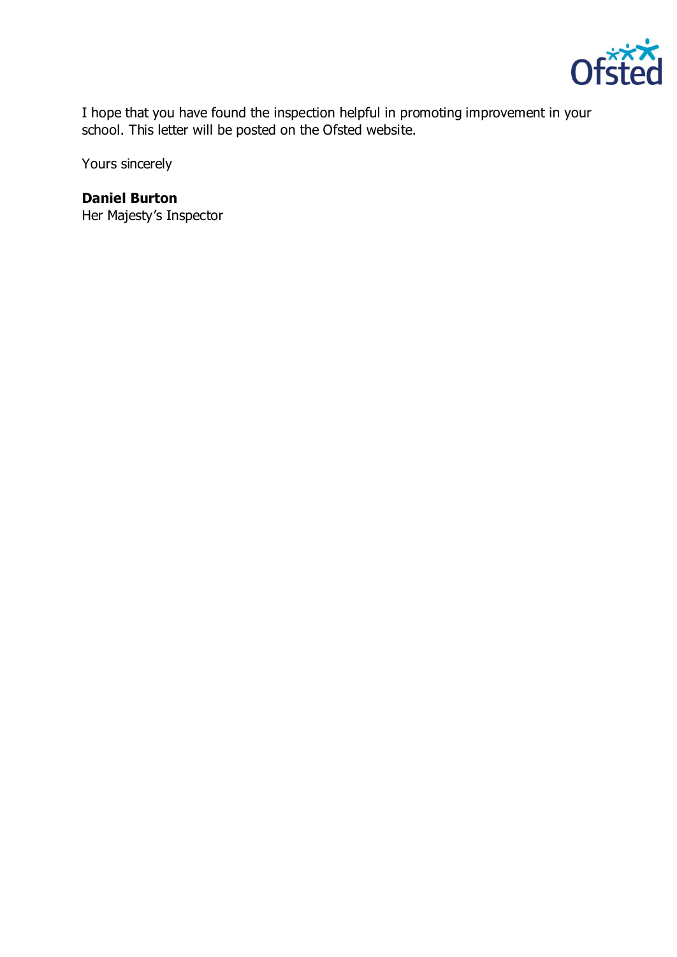

I hope that you have found the inspection helpful in promoting improvement in your school. This letter will be posted on the Ofsted website.

Yours sincerely

## **Daniel Burton**

Her Majesty's Inspector